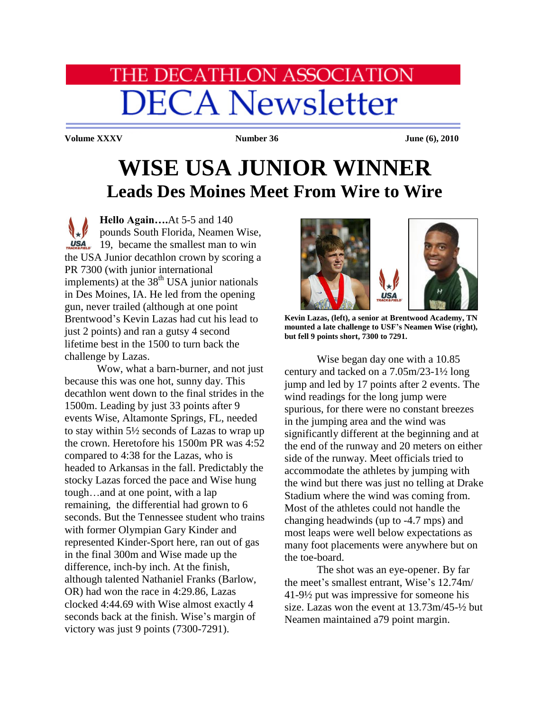## **HE DECATHLON ASSOCIATION DECA Newsletter**

**Volume XXXV Number 36 June (6), 2010** 

## **WISE USA JUNIOR WINNER Leads Des Moines Meet From Wire to Wire**

**Hello Again….**At 5-5 and 140 pounds South Florida, Neamen Wise,  $\frac{USA}{T_{\text{ROCS}}^2}$  19, became the smallest man to win the USA Junior decathlon crown by scoring a PR 7300 (with junior international implements) at the  $38<sup>th</sup>$  USA junior nationals in Des Moines, IA. He led from the opening gun, never trailed (although at one point Brentwood's Kevin Lazas had cut his lead to just 2 points) and ran a gutsy 4 second lifetime best in the 1500 to turn back the challenge by Lazas.

Wow, what a barn-burner, and not just because this was one hot, sunny day. This decathlon went down to the final strides in the 1500m. Leading by just 33 points after 9 events Wise, Altamonte Springs, FL, needed to stay within 5½ seconds of Lazas to wrap up the crown. Heretofore his 1500m PR was 4:52 compared to 4:38 for the Lazas, who is headed to Arkansas in the fall. Predictably the stocky Lazas forced the pace and Wise hung tough…and at one point, with a lap remaining, the differential had grown to 6 seconds. But the Tennessee student who trains with former Olympian Gary Kinder and represented Kinder-Sport here, ran out of gas in the final 300m and Wise made up the difference, inch-by inch. At the finish, although talented Nathaniel Franks (Barlow, OR) had won the race in 4:29.86, Lazas clocked 4:44.69 with Wise almost exactly 4 seconds back at the finish. Wise's margin of victory was just 9 points (7300-7291).



**Kevin Lazas, (left), a senior at Brentwood Academy, TN mounted a late challenge to USF's Neamen Wise (right), but fell 9 points short, 7300 to 7291.**

Wise began day one with a 10.85 century and tacked on a 7.05m/23-1½ long jump and led by 17 points after 2 events. The wind readings for the long jump were spurious, for there were no constant breezes in the jumping area and the wind was significantly different at the beginning and at the end of the runway and 20 meters on either side of the runway. Meet officials tried to accommodate the athletes by jumping with the wind but there was just no telling at Drake Stadium where the wind was coming from. Most of the athletes could not handle the changing headwinds (up to -4.7 mps) and most leaps were well below expectations as many foot placements were anywhere but on the toe-board.

The shot was an eye-opener. By far the meet's smallest entrant, Wise's 12.74m/ 41-9½ put was impressive for someone his size. Lazas won the event at 13.73m/45-½ but Neamen maintained a79 point margin.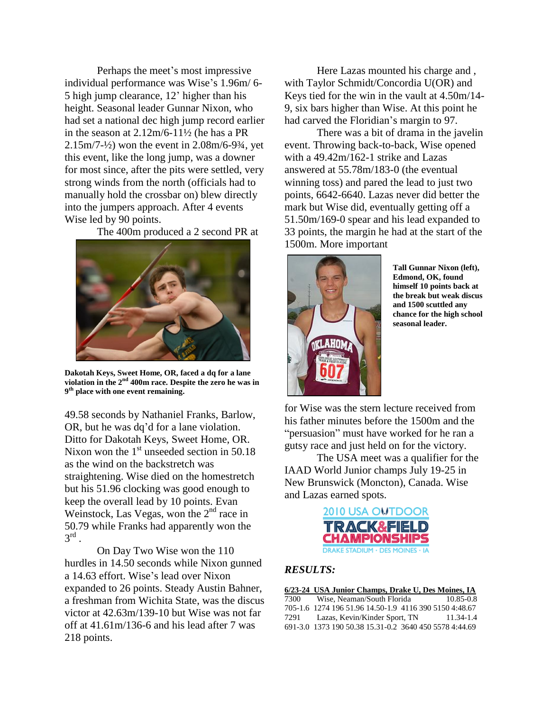Perhaps the meet's most impressive individual performance was Wise's 1.96m/ 6- 5 high jump clearance, 12' higher than his height. Seasonal leader Gunnar Nixon, who had set a national dec high jump record earlier in the season at 2.12m/6-11½ (he has a PR  $2.15 \text{m}/7 - \frac{1}{2}$  won the event in  $2.08 \text{m}/6 - \frac{93}{4}$ , vet this event, like the long jump, was a downer for most since, after the pits were settled, very strong winds from the north (officials had to manually hold the crossbar on) blew directly into the jumpers approach. After 4 events Wise led by 90 points.

The 400m produced a 2 second PR at



**Dakotah Keys, Sweet Home, OR, faced a dq for a lane violation in the 2nd 400m race. Despite the zero he was in 9 th place with one event remaining.**

49.58 seconds by Nathaniel Franks, Barlow, OR, but he was dq'd for a lane violation. Ditto for Dakotah Keys, Sweet Home, OR. Nixon won the 1<sup>st</sup> unseeded section in 50.18 as the wind on the backstretch was straightening. Wise died on the homestretch but his 51.96 clocking was good enough to keep the overall lead by 10 points. Evan Weinstock, Las Vegas, won the  $2<sup>nd</sup>$  race in 50.79 while Franks had apparently won the  $3^{\text{rd}}$  .

On Day Two Wise won the 110 hurdles in 14.50 seconds while Nixon gunned a 14.63 effort. Wise's lead over Nixon expanded to 26 points. Steady Austin Bahner, a freshman from Wichita State, was the discus victor at 42.63m/139-10 but Wise was not far off at 41.61m/136-6 and his lead after 7 was 218 points.

Here Lazas mounted his charge and , with Taylor Schmidt/Concordia U(OR) and Keys tied for the win in the vault at 4.50m/14- 9, six bars higher than Wise. At this point he had carved the Floridian's margin to 97.

There was a bit of drama in the javelin event. Throwing back-to-back, Wise opened with a 49.42m/162-1 strike and Lazas answered at 55.78m/183-0 (the eventual winning toss) and pared the lead to just two points, 6642-6640. Lazas never did better the mark but Wise did, eventually getting off a 51.50m/169-0 spear and his lead expanded to 33 points, the margin he had at the start of the 1500m. More important



**Tall Gunnar Nixon (left), Edmond, OK, found himself 10 points back at the break but weak discus and 1500 scuttled any chance for the high school seasonal leader.**

for Wise was the stern lecture received from his father minutes before the 1500m and the "persuasion" must have worked for he ran a gutsy race and just held on for the victory.

The USA meet was a qualifier for the IAAD World Junior champs July 19-25 in New Brunswick (Moncton), Canada. Wise and Lazas earned spots.



## *RESULTS:*

|      | 6/23-24 USA Junior Champs, Drake U, Des Moines, IA     |               |
|------|--------------------------------------------------------|---------------|
| 7300 | Wise. Neaman/South Florida                             | $10.85 - 0.8$ |
|      | 705-1.6 1274 196 51.96 14.50-1.9 4116 390 5150 4:48.67 |               |
| 7291 | Lazas, Kevin/Kinder Sport, TN                          | 11.34-1.4     |
|      | 691-3.0 1373 190 50.38 15.31-0.2 3640 450 5578 4:44.69 |               |